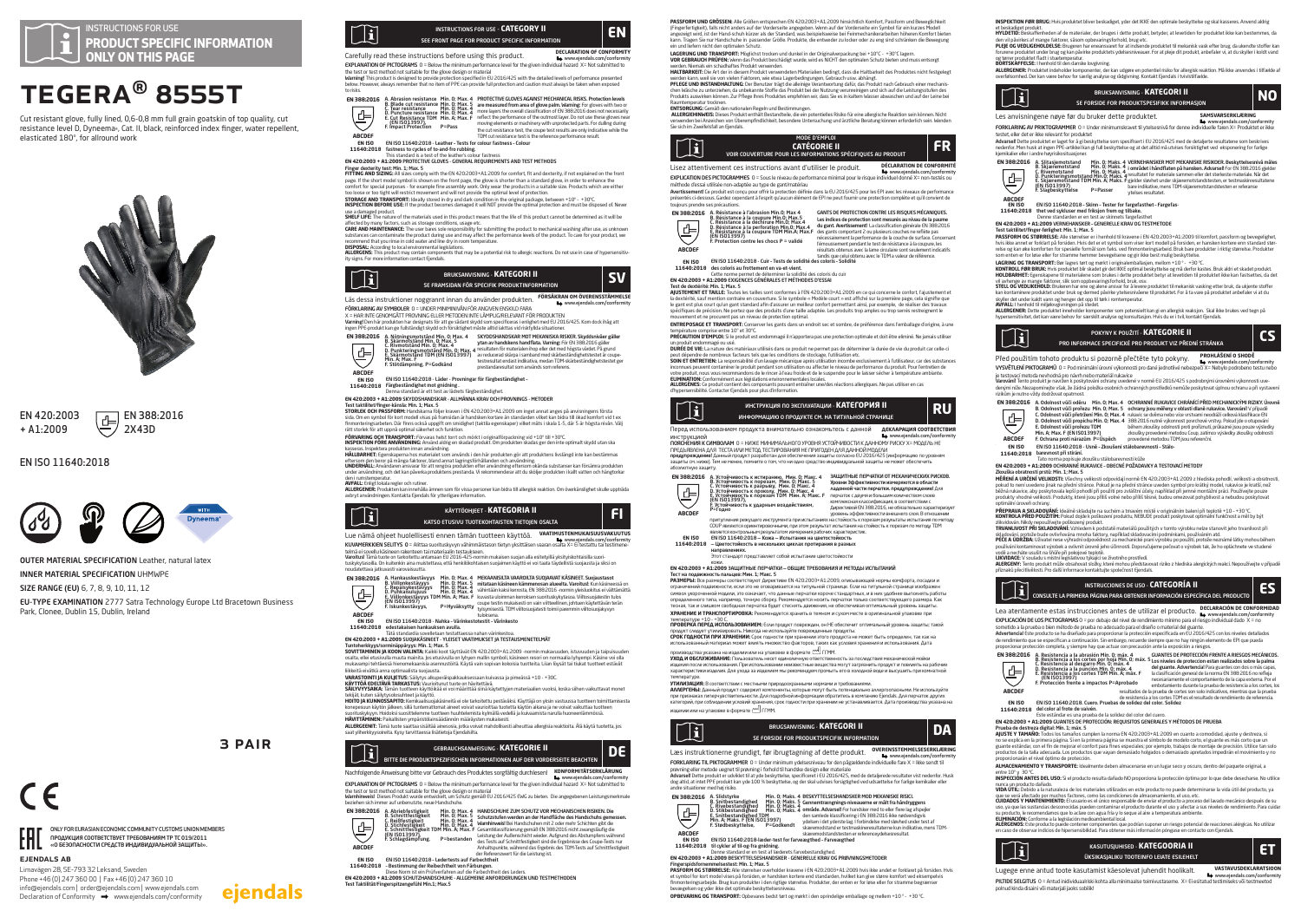

# TEGERA® 8555T

Cut resistant glove, fully lined, 0,6-0,8 mm full grain goatskin of top quality, cut resistance level D, Dyneema®, Cat. II, black, reinforced index finger, water repellent, elasticated 180°, for allround work



EN 420:2003 + A1:2009  $E$ EN 388:2016 2X43D

### EN ISO 11640:2018



OUTER MATERIAL SPECIFICATION Leather, natural latex INNER MATERIAL SPECIFICATION UHMWPE

SIZE RANGE (FU) 6, 7, 8, 9, 10, 11, 12

ejendals ab

Limavägen 28, SE-793 32 Leksand, Sweden Phone +46 (0) 247 360 00 | Fax +46 (0) 247 360 10 info@ejendals.com | order@ejendals.com | www.ejendals.com  $Declaration of Conformity \rightarrow www.ejendals.com/conformity$ 

EU-TYPE EXAMINATION 2777 Satra Technology Europe Ltd Bracetown Business Park, Clonee, Dublin 15, Dublin, Ireland

3 Pair

eiendals

ONLY FOR EURASIAN ECONOMIC COMMUNITY CUSTOMS UNION MEMBERS ПРОДУКЦИЯ СООТВЕТСТВУЕТ ТРЕБОВАНИЯМ ТР ТС 019/2011 «О БЕЗОПАСНОСТИ СРЕДСТВ ИНДИВИДУАЛЬНОЙ ЗАЩИТЫ».



Carefully read these instructions before using this product. **DECLARATION OF CONFORM**<br> **DECLARATION OF CONFORM** www.ejendals.com/conformity EXPLANATION OF PICTOGRAMS 0 = Below the minimum performance level for the given individual hazard X= Not submitted to

the test or test method not suitable for the glove design or material<br>Warming! This product is designed to provide protection specified in EU 2016/425 with the detailed levels of performance presented<br>below. However, alway In this Control of Marsion resistance Min. 0; Max. 4 PROTECTIVE GLOVES AGAINST MECHANICAL RISKS. Protection Needs<br>
EN 388-2016 A. Advantiser Min. 0; Max. 4 are measured from area of glove plans whereinly for gloves with tw TDM cut resistance test is the reference performance result. **EN 388:2016**

**ABCDEF EN ISO 11640:2018** fastness to cycles of to-and-fro rubbing. EN ISO 11640:2018 - Leather – Tests for colour fastness – Colour

This standard is a test of the leather's colour fastness **EN 420:2003 + A1:2009** PROTECTIVE GLOVES - GENERAL REQUIREMENTS AND TEST METHODS

Finger dexterity test: Min. 1; Max. 5 **FITTING AND SIZING:** All sizes comply with the EN 420:2003+A1:2009 for comfort, fit and dexterity, if not explained on the front

page. It the short model symbol is shown on the front page, the glove is shorter than a standard glove, in order to enhance the<br>comfort for special purposes - for example fine assembly work. Only wear the products in a sui STORAGE AND TRANSPORT: Ideally stored in dry and dark condition in the original package, between +10" - +30"C.<br>INSPECTION BEFORE USE: If the product becomes damaged it will NOT provide the optimal protection and must be di

use a damaged product. **SHELF LIFE:** The nature of the materials used in this product means that the life of this product cannot be determined as it will be

affected by many factors, such as storage conditions, usage etc. **CARE AND MAINTENANCE:** The user bares sole responsibility for submitting the product to mechanical washing after use, as unknown

substances can contaminate the product during use and may affect the performance levels of the product. To care for your product, we recommend that you rinse in cold water and line dry in room temperature.

**DISPOSAL:** According to local environmental legislations.<br>**ALLERGENS:** This product may contain components that may be a potential risk to allergic reactions. Do not use in case of hypersensitiv-<br>**ity signs. F**or more inf



X = HAR INTE GENOMGÅTT PROVNING ELLER METODEN INTE LÄMPLIG/RELEVANT FÖR PRODUKTEN Varning! Den här produkten har designats för att ge sådant skydd som specificeras i enlighet med EU 2016/425. Kom dock ihåg att ingen PPE-produkt kan ge fullständigt skydd och försiktighet måste alltid iakttas vid riskfyllda situationer.

**EN 388:2016** A. Nötningsmotstånd Min. 0; Max. 4 SKYDDSHANDSKAR MOT MEKANISKA RISKER. Skyddsnivåer gäller<br>B. Skärmotstånd Min. 0; Max. 5 <sub>vrtan av handskens handflata. Varning: För FN 388:2016 gäller</sub>



**11640:2018** Färgbeständighet mot gnidning . Denna standard är ett test av lädrets färgbeständighet.

**EN 420:2003 + A1:2009** SKYDDSHANDSKAR - ALLMÄNNA KRAV OCH PROVNINGS - METODER

Test taktilitet/finger-känsla: Min. 1; Max. 5<br>**STORI EK OCH PASSEORM:** Handskarna följer kraven i EN 420:2003+41:2009 om inget annat anges på anvisningens första **STORLEK OCH PASSFORM:** Handskarna följer kraven i EN 420:2003+A1:2009 om inget annat anges på anvisningens första<br>sida. Om en symbol för kort modell visas på framsidan är handsken kortare än standarden vilket kan bidra ti finmonteringsarbeten. Där finns också uppgift om smidighet (taktila egenskaper) vilket mäts i skala 1-5, där 5 är högsta nivån. Välj

rätt starké för att uppnä opfimal säkelmet och funktion.<br>**Exploration och program för att uppnär för att uppnär och m**edit langingarbring vid +10° till +30°C.<br>Rappare, lengelsen produktion finan andandning. In skadad produ

den munistemperatur.<br>AVFALL: Enligt lokala regler och rutiner. **AVFALL:** Enligt lokala regler och rutiner.<br>**ALLERGENER:** Produkten kan innehålla ämnen som för vissa personer kan bidra till allergisk reaktion. Om överkänslighet skulle uppträda<br>avbryt användningen. Kontakta Ejendals för



ww.ejendals.com/conformity KUVAMERKKIEN SELITYS 0 = Alittaa suorituskyvyn vähimmäistason tietyn yksittäisen vaaran osalta X= Ei testattu tai testimene-<br>KUVAMERKKIEN SELITYS 0 = Alittaa suorituskyvyn vähimmäistason tietyn telmä ei sovellu käsineen rakenteen tai materiaalin testaukseen.<br>Vanoftus! Tämä tuote on tarkoitettu antamaan EU 2015–425-nomin mukaisen suojan alla esitetyillä yksityiskohtaisilla suori-<br>tuskykytasoilla. On kuitenkin aina





- tuloksena. EN ISO 11640:2018 Nahka Värinkestotestit Värinkesto **EN ISO**
- **11640:2018** edestakaisen hankauksen avulla. Tätä standardia sovelletaan testattaessa nahan värinkestoa.

**EN 420:2003 - 4 AL2009 SUOJAKSINRET - YLESET VAATIMUKSET JA TESTAUSMENETELMAT<br>Tuntoherkkyys/sommäapäryys: Min. 1: Max. 5<br>Tuntoherkkyys/sommäapäryys: Min. 1: Max. 5<br>mukaaampi lehtäessä hienomekaankia aseenustöitä. Käytä va** 

**WARATOWIN JA KUUETUS:**<br>SANTOWIN JA KUUETUS Säihiys alkupeidepakkauksessaan kuivassa ja piireissä 1–10 – -30C,<br>SANTOWYKINKA: Tämän tuotteen käyttökää ni varmintain sinä käytettyien materiaalien vuoksi, koska sihen vaikutta



Nachfolgende Anweisung bitte vor Gebrauch des Produktes sorgfältig durchlesen! KONFORMITÄTSERKLÄRUNG<br>EXPLANATION OF PICTOGRAMS 0 = Below the minimum performance level for the given individual hazard X= Not submitted to

the test or test method not suitable for the glove design or material<br>Warnhinweis! Dieses Produkt wurde entwickelt, um Schutz gemäß EU 2016/425 EWG zu bieten. Die angegebenen Leistungsmerkmale



**EN 420:2003 + A1:2009** SCHUTZHANDSCHUHE - ALLGEMEINE ANFORDERUNGEN UND TESTMETHODEN

Test Taktilität/Fingerspitzengefühl Min.1; Max.5

**PASSFORM UNIO CROSSEN:** Alle icroiden entsprechen EN 420:2003-FA1:2003 hinsichtlich Komfort, Passtorm und Beweglichkeit<br>«Fingerfertigkeit), falls nicht anders auf der Vorderseite angegeben. Wenn auf der Vorderseite in Sym ein und liefern nicht den optimalen Schutz.

LAGERUNG UND TRANSPORT: Moglichst trocken und dunkel in der Originalverpackung bei +10°C - +30°C lagern.<br>VOR GEBRAUCH PRÜFEN: Wenn das Produkt beschädigt wurde, wird es NICHT den optimalen Schutz bieten und muss entsorgt

werden. Niemals ein schadhaftes Produkt verwenden. **HALTBARKEIT:** Die Art der in diesem Produkt verwendeten Materialien bedingt, dass die Haltbarkeit des Produktes nicht festgelegt werden kann, weil sie von vielen Faktoren, wie etwa Lagerbedingungen, Gebrauch usw. abhängt.<br>**PFLEGE UND INSTANDHALTUNG:** Der Benutzer trägt die alleinige Verantwortung dafür, das Produkt nach Gebrauch einer mechanis

chen Wasche zu unterziehen, da unbekannte Stoffe das Produkt bei der Nutzung verunreinigen und sich auf die Leistungsstufen des<br>Produkts auswirken können. Zur Pflege Ihres Produktes empfehlen wir, dass Sie es in kaltem Was Raumtemperatur trocknen.<br>Raumtemperatur trocknen.<br>**ENTSORGUNG:** Gemäß den nationalen Regeln und Bestimmungen.

**ENTSORGUNG:** Gemäß den nationalen Regeln und Bestimmungen.<br>**ALLERGIEHINMEIS:** Dieses Produkt enthält Bestandteille, die ein potentielles Risiko für eine allergische Reaktion sein können. Nicht<br>verwenden bei Anzeichen von





www.ejendals.com/<br>idual.donnó.V=non.t EXPLICATION DES PICTOGRAMMES 0 = Sous le niveau de performance minimal pour le risque ind méthode d'essai utilisée non-adaptée au type de gant/matériau

metnode d'essai utilisee non-adaptée au type de gant/materiau<br>**Avertissement!** Ce produit est conçu pour offrir la protection définie dans la EU 2016/425 pour les EPI avec les niveaux de performance rvérissement de produit est conçu pour onnri la protection dennie dans la co-zozonne pour les cerales issiniveaux de penomiali<br>présentés ci-dessous. Gardez cependant à l'esprit qu'aucun élément de EPI ne peut fournir une p



nécessairement la performance de la couche de surface. Concernant l'émoussement pendant le test de résistance à la coupure, les resultats obtenus taves la lamba consequent indicatifs<br>EN ISO 11640:2018 - Cuir - Tests de solidité des coloris - Solidité<br>des coloris au frottement en va-et-vient.

GANTS DE PROTECTION CONTRE LES RISQUES MECANIQUES.<br>Les indices de protection sont mesurés au nivau de la paume<br>du gant. Avertissement! La classification générale EN 388:2016<br>des gants comportant 2 ou plusieurs couches ne r

**INSPECTION FOR BRUC:** Interpretent of the theories of the INC control and the styletics or stal locates. Amend along<br>HYMBETIC Breadfinished at discussions of the state of the USA control and the state of productive and th

SE FORSIDE FOR PRODUKTSPESIFIKK INFORMASION

**PASSFORM OG STØRRELSE** Alle størrelser er i henhold til kravene i EN 4202.003-14.12009 til komfort, passform og bevegelighet<br>I hvis like annet er forklart på forsiden. Hvis det er et symbol som viser kort modell på forsid LAGRING OG TRANSPORT: Bør lagres tørt og mørkt i originalemballasjen, mellom +10 ° - +30 °C.<br>KONTROLL FØR BRUK: Hvis produktet blir skadet gir det IKKE optimal beskyttelse og må derfor kastes. Bruk aldri et skadet produkt. vil avhenge av mange faktorer, slik som oppbevaringsforhold, bruk, osv. **STELL OG VEDLIKEHOLD:** Brukeren har ene og alene ansvar for å levere produktet til mekanisk vasking etter bruk, da ukjente stoffer kan kontaminere produktet under bruk og dermed påvirke ytelsesnivåene til produktet. For å ta vare på produktet anbefaler vi at du skyller det under kaldt vann og henger det opp til tørk i romtemperatur. **AVFALL:** I henhold til miljølovgivningen på stedet.<br>**ALLERGENER:** Dette produktet inneholder komponenter som potensielt kan gi en allergisk reaksjon. Skal ikke brukes ved tegn på<br>hypersensitivitet, det kan være behov for

Před použitím tohoto produktu si pozorně přečtěte tyto pokyny. **PROHLÁŠENÍ O SHODĚ**  www.ejendals.com/conformity VYSVĚTLENÍ PIKTOGRAMŮ 0 = Pod minimální úrovní výkonnosti pro dané jednotlivé nebezpečí X= Nebylo podrobeno testu nebo je testovací metoda nevhodná pro návrh nebo materiál rukavice<br>Varováníl Tento produkt je navržen k poskytování ochrany uvedené v normě EU 2016/425 s podrobnými úrovněmi výkonnosti uve-<br>denými níže. Nezapomínějte však, že ž EN 388:2016 A. Odolnost vůči oděru Min. 0; Max. 4 OCHRANNÉ RUKAVICE CHRANICI PRED MECHANICKÝMI RIZIKY. Úrovně<br>B. Odolnost vůči prořezu Min. 0; Max. 5 ochrany jsou měřeny v oblasti dlaně rukavice. Varování!

Zkouška obratnosti prstů: Min. 1; Max. 5 **MĚŘENÍ A URČENÍ VELIKOSTI:** Všechny velikosti odpovídají normě EN 420:2003+A1:2009 z hlediska pohodlí, velikosti a obratnosti, pokud to není uvedeno jinak na přední stránce. Pokud je na přední stránce uveden symbol pro krátký model, rukavice je kratší, než<br>běžná rukavice, aby poskytovala lepší pohodlí při použití pro zvláštní účely, například při oplimální únovek ochrany.<br>**KONTROLA PŘED POVLZNÍM**: Idealně skladujte na suchém a tmavém místě v originálním balení při teplotě +10 - +30 °C<br>**KONTROLA PŘED POVLZNÍM: FO**ud 60gle k poškození produktu, NEBUDE produkt podatov skladování, protože bude ovlivňována mnoha faktory, například skladovacími podmínkami, používáním atd.<br>**PĚČE A ÚDRŽBA:** Uživatel nese výhradní odpovědnost za mechanické praní výrobku po použití, protože neznámé látky mohou používání kontaminovat výrobek a ovlivnit úrovně jeho účinnosti. Doporučujeme pečovat o výrobek tak, že ho opláchnete ve studené

**LIKVIDACE:** V souladu s místní legislativou týkající se životního prostředí.<br>**ALERGEWY:** Tento produkt může obsahovat složky, které mohou představovat riziko z hlediska alergických reakcí. Nepoužívejte v případě<br>příznakú INSTRUCCIONES DE USO - **CATEGORÍA II**<br>CONSULTE LA PRIMERA PÁGINA PARA OBTENER INFORMACIÓN ESPECÍFICA DEL PRODUCTO Lea atentamente estas instrucciones antes de utilizar el producto. DECLARACION DE CONFORMIDAD<br>EXPLICACIÓN DE LOS PICTOGRAMAS 0 = por debajo del nivel de rendimiento mínimo para el riesgo individual dado X = no sometido a la prueba o bien método de prueba no adecuado para el diseño o material del guante.<br>**Advertencial** Este producto se ha diseñado para proporcionar la protección específicada en EU 2016/425 con los niveles detalla

resultados de la prueba de cortes son solo indicativos, mientras que la prueba de resistencia a los cortes TDM es el resultado de rendimiento de referencia. **EN ISO**  EN ISO 11640:2018. Cuero. Pruebas de solidez del color. Solidez

Prueba de destreza digital: Mín. 1; máx. 5 **AJUSTE Y TAMAÑO:** Todos los tamaños cumplen la norma EN 420:2003+A1:2009 en cuanto a comodidad, ajuste y destreza, si no se explica en la primera página. Si en la primera página se muestra el símbolo de modelo corto, el guante es más corto que un guante estándar, con el fin de mejorar el confort para fines especiales; por ejemplo, trabajos de montaje de precisión. Utilice tan solo<br>productos de la talla adecuada. Los productos que vayan demasiado holgados o demasiad

**ALMACENAMIENTO Y TRANSPORTE:** Idealmente deben almacenarse en un lugar seco y oscuro, dentro del paquete original, a entre 10º y 30 ºC. **INSPECCIÓN ANTES DEL USO:** Si el producto resulta dañado NO proporciona la protección óptima por lo que debe desecharse. No utilice nunca un producto dañado. **VIDA ÚTIL:** Debido a la naturaleza de los materiales utilizados en este producto no puede determinarse la vida útil del producto, ya que se verá afectado por muchos factores, como las condiciones de almacenamiento, el uso, etc.<br>CUIDADOS Y MANTENIMIENTO: El usuario es el único responsable de enviar el producto a proceso del lavado mecánico después de su uso, ya que las sustancias desconocidas pueden contaminar el producto durante el uso y afectar a sus niveles de rendimiento. Para cuidar<br>su producto, le recomendamos que lo aclare con agua fría y lo seque al aire a tempera **ELIMINACIÓN:** Conforme a la legislación medioambiental local.<br>**ALÉRGENOS:** Este producto puede contener componentes que podrían suponer un riesgo potencial de reacciones alérgicas. No utilizar<br>en caso de observar indicios ÜKSIKASJALIKU TOOTEINFO LEIATE ESILEHELT

Lugege enne antud toote kasutamist käesolevat juhendit hoolikalt. **VASTAVUSDEKLARATSIOON** PILTIDE SELGITUS 0 = Antud inidividuaalriski kohta alla minimaalse toimivustaseme. X= Ei esitatud testimiseks või testmeetod

KASUTUSJUHISED - **KATEGOORIA II ET**

POKYNY K POUŽITÍ - **KATEGORIE II**<br>PRO INFORMACE SPECIFICKÉ PRO PRODUKT VIZ PŘEDNÍ STRÁNKA

Les anvisningene nøye før du bruker dette produktet. **SAMSVARSERKLÆRING** FORKLARING AN PRIKTOGRAMMER (1 = Under minimumskravet til vtekssnivå for denne individuelle faren X = Produktet er ikk FORKLARING AV PRIK DGARAMMEN: U = Under minimumskravet til ytelsesniva for denne individuelle taren X= Produktet er ikke<br>testet, eller det er ikke relevant for produktet<br>Advansel Dette produktet er laget fro å gi beskyttel

Signislate eller i andre høytsiksstussioner.<br>
EN 388:2016 Alizasjemotistand<br>
C. Michael Michael Michael Michael Michael Michael Michael Michael Michael Michael Michael Michael Michael C.<br>
C. Skigeremotistand TDM Min. & Mak

**ABCDEF EN ISO**  EN ISO 11640:2018 – Skinn – Tester for fargefasthet – Fargefas-**11640:2018** thet ved sykluser med friksjon frem og tilbake. Denne standarden er en test av skinnets fargefasthet **EN 420:2003 + A1:2009** VERNEHANSKER – GENERELLE KRAV OG TESTMETODE Test taktilitet/finger-førlighet: Min. 1; Max. 5

C. Odolnost vůči přetržení Min. 0; Max. 4<br>D. Odolnost vůči propichu Min. 0; Max. 4<br>E. Odolnost vůči prořezu TDM<br>Min. A; Max. F (EN ISO13997)<br>F. Ochrana proti nárazům P=Úspěch

vodě a necháte usušit na šňůře při pokojové teplotě.<br>vodě a necháte usušit na šňůře při pokojové teplotě.<br>LIKVIDACE: V souladu s místní legislativou týkalicí se životního prostředí.

A. Resistencia a la abrasión Mín. O; máx. 4<br>B. Resistencia a los cortes por hoja Mín. O; máx. 4<br>C. Resistencia al desgarro Mín. O; máx. 4<br>D. Resistencia a la punción Mín. O; máx. 4<br>E. Resistencia a los cortes TDM Mín. A; m

**11640:2018** Este estándar es una prueba de la solidez del color del cuero. **EN 420:2003 + A1:2009** GUANTES DE PROTECCIÓN: REQUISITOS GENERALES Y MÉTODOS DE PRUEBA

EN ISO 11640:2018 - Usně – Zkoušení stálobarevnosti – Stálo-Tato norma popisuje zkoušku stálobarevnosti kůže **EN 420:2003 + A1:2009** OCHRANNÉ RUKAVICE – OBECNÉ POŽADAVKY A TESTOVACÍ METODY

**EN 388:2016**

ារ

**ABCDEF EN ISO 11640:2018** barevnost při stírání.

医

 $\textcolor{black}{\mathbb{T}}$ 

**EN 388:2016**

**ABCDEF**

 $\mathbb{T}$ 

11640:2018 del color al frote de vaivén.

proporcionarán el nivel óptimo de protección.

polnud kinda disaini või materjali jaoks sobilik!

BRUKSANVISNING - **KATEGORI II NO** 

VERNEHANSIGER MOT MEKANISKE RISIKOER. Beskyttelsesnivå mäles<br>i området i händflaten på hansken. Advarsell For EN 3882015 gjelder<br>resultatet for materiale sammen eller det sterkeste materiale. Når det<br>gjelder sløvhet under

rukavic se dvěma nebo více vrstvami neodráží celková klasifikace EN<br>1982: 2016 nutně výkonnost povrchové vrstvy. Pokud jde o otupování<br>188em zkoušky odolnosti proti proříznutí, průkazné jsou pouze výsledky<br>zkoušky proveden

 $GUANTES DE PROTECCION FRENTE A RESGOS MECANICOS.  
Los niveles de protección estan realizados sobre la palma  
del guante. Adverteencial Para guantes con dos o más capas,  
la clasificación general de la noma EN 388:2016 no refleja  
neescariamente el comportamiento de la cae externa. Pore  
emhotamiento durante la pueden de resistencia a los cortes, los$ 

# **11640:2018** Cette norme permet de déterminer la solidité des coloris du cuir **EN 420:2003 + A1:2009** EXIGENCES GÉNÉRALES ET MÉTHODES D'ESSAI

**EN ISO** 

**ABCDEF**

T**est de dextérité: Min. 1; Max. 5**<br>**AJUSTEMENT ET TAILLE:** Toutes les tailles sont conformes à l'EN 420:2003+A1:2009 en ce qui concerne le confort, l'ajustement et

la dextente, saut menton contraire en couverture. Si le symbole « Modéle court » est attriche sur la premiere page, cela signitre que<br>le gant est plus court qu'un gant standard afin d'assurer un mellieur confort permettant

# **ENTREPOSAGE ET TRANSPORT:** Conserver les gants dans un endroit sec et sombre, de préférence dans l'emballage d'origine, à une

température comprise entre 10° et 30°C. **PRÉCAUTION D'EMPLOI:** Si le produit est endommagé il n'apportera pas une protection optimale et doit être eliminé. Ne jamais utiliser

un produit endommagé ou usé. **DURÉE DE VIE:** La nature des matériaux utilisés dans ce produit ne permet pas de déterminer la durée de vie du produit car celle-ci

peut dépendre de nombreux facteurs tels que les conditions de stockage, l'utilisation etc.<br>**SOIN ET ENTRETIEN**: La responsabilité d'un lavage mécanique après utilisation incombe exclusivement à l'utilisateur, car des subst nonniues peuvent concammente produit pendant son utilisation du ancerer le microix de permaner du procurer cur<br>votre produit, nous vous recommandons de le rincer à l'eau froide et de le suspendre pour le laisser sécher à t

**ELIMINATION:** Conformément aux législations environnementales locales.<br>**ALLERGÈNES**: Ce produit contient des composants pouvant entraîner une/des réactions allergiques. Ne pas utiliser en cas<br>d'hypersensibilité. Contacter



ПРЕДЪЯВЛЕНА ДЛЯ ТЕСТА ИЛИ МЕТОД ТЕСТИРОВАНИЯ НЕ ПРИГОДЕН ДЛЯ ДАННОЙ МОДЕЛИ предупреждение! Данный продукт разработан для обеспечения защиты согласно EU 2016/425 (информацию по уровням защиты см. ниже). Тем не менее, помните о том, что ни одно средство индивидуальной защиты не может обеспечить



```
accoromylo assumy.<br>
EN 388:2016 B. Victoriussoche KCHOBHWO, MHL O: Marc. 4<br>
E. Victoriussoche KORONOW, MHL O: Marc. 4<br>
C. Victoriussoche KORONOW, MHL O: Marc. 4<br>
ENTORPHOBOTE K PRODUCT MULL O: Marc. 4<br>
ENTORPHOBOTE K VAREL
```
 $A$  устойнивость к историанов, Мин, 6; Макс. 4<br>  $A$  устойнивость к историанов, Мин, 6; Макс. 4<br>  $A$  устойнивость к разрешает место и совмести и совместно при совместном совмести и совместно и совместной совмести. Не совм

**EN ISO 11640:2018** EN ISO 11640:2018 — Кожа — Испытания на цветостойкость

— Цветостойкость в нескольких циклах протирания в разных

направлениях. Этот стандарт представляет собой испытание цветостойкости

## кожи. **EN 420:2003 + A1:2009** ЗАЩИТНЫЕ ПЕРЧАТКИ — ОБЩИЕ ТРЕБОВАНИЯ И МЕТОДЫ ИСПЫТАНИЙ

Т**ест на подалкомость пальцее: Мни. 1, Макс.**<br>**ограничений подалкоюсть, если это не оговаривается на титульной странице. Если на титульной странице нозбражен<br>огичеки укороченной модели, если это не оговаривается на титуль ХРАНЕНИЕ И ТРАНСПОРТИРОВКА:** Рекомендуется хранить в темном и сухом месте в оригинальной упаковке при

тенноратуре +10 + +30 CMA-**30BAHWEM:** Если продукт поврежден, он НЕ обеспечит оптимальный уровень защиты; такой<br>ПРОВЕРКА ПЕРЕД ИСПОЛЬЗОВАНИИ: Соот краности при хранении этого продукта не может быть определен, так как на<br>и

производства указана на изделии или на упаковке в формате (2011 ГММ).<br>УХОД И ОБСЛУЖИВАНИЕ: Помахователь несет единомичную спетственность за последствия механической мойки<br>характеристики изделия. Для ухода за изделием мы р

телевратуре.<br>АМАРИТЕМЫ Данный процистовки с местными природозоранными нормами и требованиями.<br>АМАРИТЕМЫ Данный процист водется для поветской внеделенции обесплетно, в вомськом Сентовко и местнольнуйте<br>категорий, при собир

### изделии или на упаковке в формате ГГММ.



Læs instruktionerne grundigt, før ibrugtagning af dette produkt. **OVERENSSTEMMELSESERKLÆRING**<br>■ www.ejendals.com/conformity FORKLARING TIL PIKTOGRAMMER 0 = Under minimum ydelsesniveau for den pågældende individuelle fare X = Ikke sendt til

prøvning eller metode uegnet til prøvning i forhold til handske design eller materiale<br>**Advarsel** Dette produkt er udviklet til at yde beskyttelse, specificeret i EU 2016/425, med de detaljerede resultater vist nedenfor. H andre situationer med høj risiko.

A. Slidstyrke Min. 0; Maks. 4<br>B. Snitbestandighed Min. 0; Maks. 5<br>C. Rivebestandighed Min. 0; Maks. 4<br>D. Stikbestandighed TDM<br>Min. A; Maks. F (EN ISO13997)<br>F. Stødbeskyttelse, P=Godkendt **EN 388:2016**



skæremodstandstesten er referenceydelsesresultat. EN ISO 11640:2018-læder-test for farveægthed – Farveægthed

**OPBEVARING OG TRANSPORT:** Opbevares bedst tørt og mørkt i den oprindelige emballage og mellem +10 º - +30 ºC.

**ABCDEF EN ISO 11640:2018** tiv 130-11040.co104aeuer-test for farveægtreu-franve<br>til cykler af til-og-fra gnidning.<br>Denne standard er en test af læderets farvehestandiehed

**EN 420:2003 - ALEZONS BEST ATENT alliedes Fandelished (Fig. 10)**<br>**FREEPOIREMENT ARREST ALEXAN DESCRIPTIONS AND ARREST ACTION OF PROVININGSMETODER**<br>**PROFOIRM CO STORINGS FREE THAT LY MASS S**<br>**PROFOIRM CO STORINGS FREE THAT**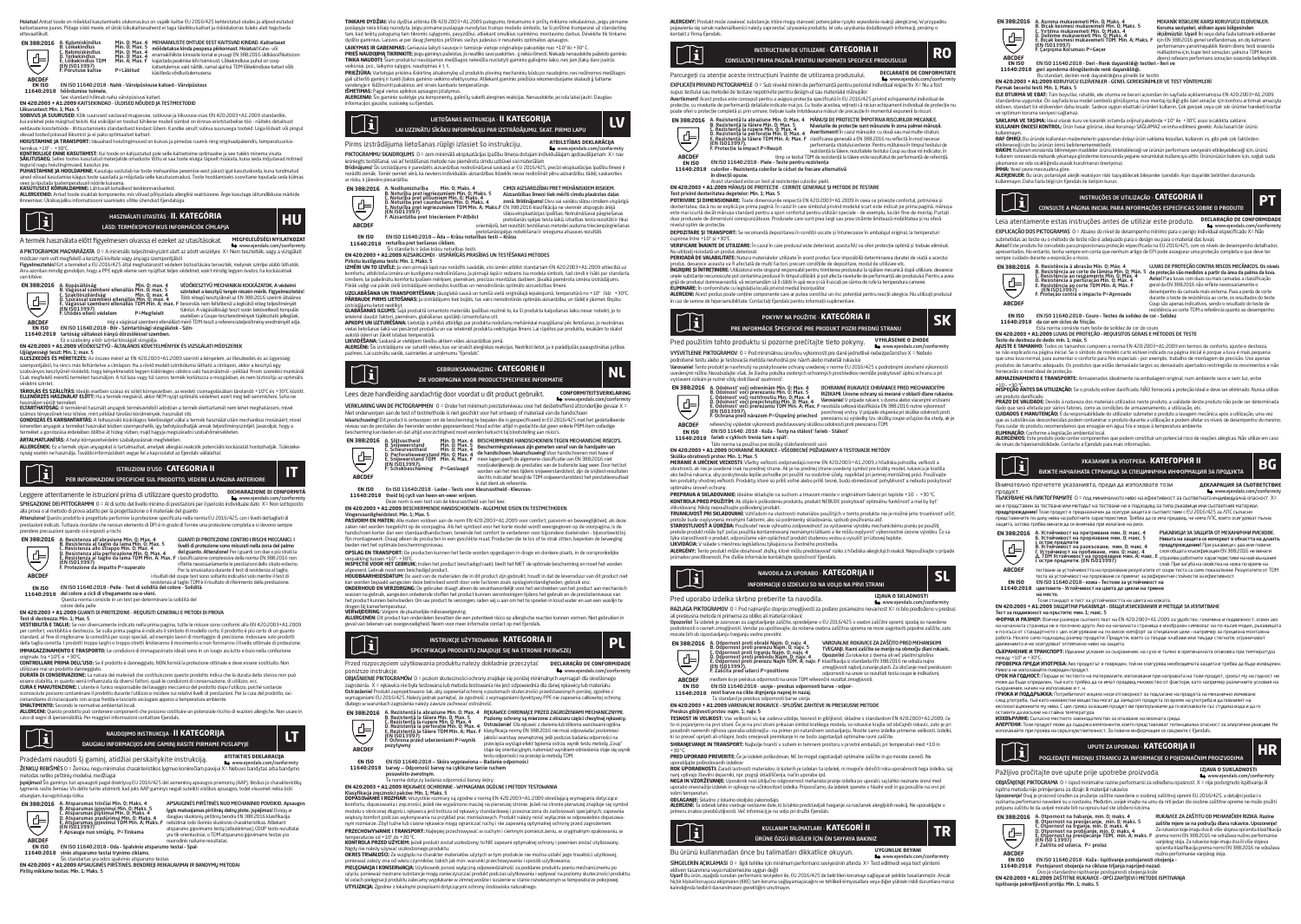**Hoiatusi** Antud toode on mõeldud kasutamiseks olukorras,kus on vajalik kaitse EU 2016/425 kehtestatud oludes ja allpool esitatud<br>kaitsetaseme juures. Pidage siiski meele, et ükski isikukaitsevahend ei taga täielikku kaits

ettevaatlikult. **EN 388:2016** A. Kulumiskindlus Min. 0; Max. 4<br>B. Lõikekindlus Min. 0; Max. 4<br>C. Rebimiskindlus Min. 0; Max. 4<br>E. Lõikekindlus TDM Min. A; Max. F<br>E. Nõrutuse kaitse P=Läbitud<br>F. Põrutuse kaitse P=Läbitud MEHAANILISTE OHTUUBE EEST KAITSIVAD KINDAD. Kaitsetaset<br>enänakihiliste kinna peopesa piirkonnast. Hoiatusi Kahe- või<br>enänakihiliste kinnaste koral ei pruugi EN 388:2016 üldusasifikatsioon<br>kajastada pealmise kihi toimivust. 写

**ABCDEF EN ISO 11640:2018** EN ISO 11640:2018 - Nahk – Värvipüsivuse katsed – Värvipüsivus

hõõrdumise toimele.<br>Soo etaadad hõlmah naha vänimileiuus katee See standard hõlmab naha värvipüsivus katset.<br>**EN 420:2003 + A1:2009 KAITSEKINDAD - ÜLDISED NÕUDED JA TESTMEETODID** 

Liikuvustest: Min. 1; Max. 5<br>Liikuvustest: Min. 1; Max. 5<br>Konny ja Kali ja ja Karl Käik suurused vastavad muaavuse sobiyuse ja liikuvuse osas FM 420-2003+41-2009 standardile **SOBIVUS JA SUURUSED:** Kõik suurused vastavad mugavuse, sobivuse ja liikuvuse osas EN 420:2003+A1:2009 standardie,<br>kui esilehel pole märgitud teistii. Kui esiküljel on toodud lühikese mudeli sümbol on kinnas eriotstarbete eeldavate koostetoode - lintsustamiseks standardsest kindas<br>olevad tooted niiravad liikumist ja ei naku optimaalset kaitset.

**HOIUSTAMINE JA TRANSPORT:** Ideaalsed hoiutingimused on kuivas ja pimedas ruumis ning originaalpakendis, temperatuurivahemikus +10º - +30ºC. **KONTROLLIGE ENNE KASUTAMIST:** Kui toode on kahjustatud pole selle kaitsetoime optimaalne ja see tuleks minema visata.

**SAILITUSAE**G: Selles tootes kasutatud materjalide omaduste tõttu ei saa toote eluiga täpselt määrata, kuna seda mõjutavad mitmed<br>tegurid nagu holutingimused, kasutus jne.<br>**PUHASTAMINE JA HOOLDAMINE:** Kasutaja vastutab ise

**rumas iamine ja nuuluamine**l kasutaja västudu os toute menaannos pesembe eest parast iga koortookonomikoortooko<br>ained võivad kasutamise käigus toote saastada ja mõjutada selle kasutusomadusi. Toote hooldamiseks soovitame

vees ja nputada toatemperatuuni nöörile kuivama.<br>**KASUTUSELT KÕRVALDAMINE:** Lähtuvalt kohalikest keskkonnanõuetest.

**KASUTUSELT KORVALDAMINE**: Lähtuvalt kohalikest keskkonnanõuetest.<br>**ALLERGENID:** Antud toode sisaldab komponente, mis võivad põhjustada allergilisi reaktsioone. Ärge kasutage ülitundlikkuse märkide<br>Ilmnemisel. Üksikasjalik



# A termék használata előtt figyelmesen olvassa el ezeket az utasításokat. **MEGFELELŐSÉGI NYILATKOZAT**

www.ejendals.com/conformity A PIKTOGRAMOK MAGYARÁZATA 0 = A minimális teljesítményszint alatt az adott veszélyre X= Nem tesztelték, vagy a vizsgálati

módszer nem volt megfelelő a kesztyű kivitele vagy anyaga szempontjából<br>Figyelmeztetés! Ezt a terméket a EU 2016/425 által meghatározott védelem biztosítására tervezték, melynek szintjei alább láthatók.<br>Arra azonban mindig

van kitéve.<br>EN 388:2016 A. Kopásállóság<br>- C. Szakítószlárdság – Kitéve – Millio Min. O: max. 4<br>- C. Szakítószlárdság – Kitéve – Min. O: max. 4<br>- E. Vágással szembeni ellenállás TDM Min. A: max. 4<br>- E. Vágással szembeni el E. Vágással szembeni ellenallas 1 vm Min. A; max.<br>(EN ISO13997)<br>F. Ütődés elleni védelem P=Megfelelt VÉDŐKESZTYŰ MECHANIKAI KOCKÁZATOK. A védelmi<br>szinteket a kesztyű tenyér részén mérik. Figyelmeztetés!<br>Több rétegű kesztyűknél az EN 388:2016 szerinti általános<br>besorolás nem feltétlenül a legkülső réteg teljesítményét tükrözi. A vágásállósági teszt során bekövetkező tompulás esetében a Coupe-teszteredmények tájékoztató jellegűek, míg a vágással szembeni ellenállást mérő TDM-teszt a referenciateljesítmény eredményét adja. **EN 388:2016 ABCDEF**

**EN ISO 11640:2018** tartóság váltakozó irányú dörzsöléssel szemben. Ez a szabvány a bőr színtartósságát vizsgálja. eseu:<br>míg a vágással szembeni ellenállást mérő<br>EN ISO 11640:2018 - Bőr – Színtartósági vizsgálatok – Szín<br>a tartóság váltakozó iránvú dörzsöléssel szemben.

### **EN 420:2003 + A1:2009** VÉDŐKESZTYŰ – ÁLTALÁNOS KÖVETELMÉNYEK ÉS VIZSGÁLATI MÓDSZEREK

Ujjügyességi teszt: Min. 1; max. 5 **ILLESZKEDÉS ÉS MÉRETEZÉS:** Az összes méret az EN 420:2003+A1:2009 szerinti a kényelem, az illeszkedés és az ügyesség

szempontjából, ha nincs más teltüntetve a cimlapon. Ha a rövid modell szimbóluma látható a cimlapon, akkor a kesztyű egy<br>szabványos kesztyűnél rövidebb, hogy kényelmesebb legyen különleges célokra való használatnál–például védelmi szintet.<br>**TÁROLÁS ÉS SZÁLLÍTÁS:** Ideá<u>li</u>s esetben száraz és sötét környezetben, az eredeti csomagolásában tárolandó +10℃ és +30℃ között.

**ELLEMORZES HASZMALAT ELDTT:** Ha a termék megsérű, akkor NEM nyújt optimális védelmet, ezért meg kell semnísíteni. Soha ne<br>teszmáljon sérült temléket.<br>csámos tényesőnék lesz kitéve, mint például tárolási körülmények, haszn

terméket a gondozása érdekében öblítse át hideg vízben, majd hagyja megszáradni szobahőmérsékleten.

**ARTALMATLANITAS:** A helyi környezetvédelmi szabályozásnak megfelelően.<br>**ALLERGÉNEK:** Ez a termék olyan anyagokat is tartalmazhat, amelyek allergiás reakciók potenciális kockázatát hordozhatják. Túlérzéke-<br>nység esetén ne



# Leggere attentamente le istruzioni prima di utilizzare questo prodotto. **DICHIARAZIONE DI CONFORMITÀ** www.ejendals.com/conformity

SPIEGAZIONE DEI PITTOGRAMMI 0 = Al di sotto del livello minimo di prestazioni per il pericolo individuale dato X= Non sottoposto alla prova o al metodo di prova adatto per la progettazione o il materiale del guanto

**Attenzione!** Questo prodotto è progettato perfornire la protezione specificata nella norma EU 2016/425, con i livelli dettagliati di<br>prestazioni indicati. Tuttavia ricordate che nessun elemento di DPI è in grado di fornir prendere precauzioni quando si è esposti a rischi.

> A. Resistenza all'abrasione Min. 0; Max. 4<br>B. Resistenza al taglio da lama Min. 0; Max. 5<br>C. Resistenza allo strappo Min. 0; Max. 4<br>D. Resistenza alla perforazione Min. 0; Max. 4<br>E. Resistenza al taglio da lama TDM Min. A; GUANTI DI PROTEZIONE CONTRO I RISCHI MECCANICI. I<br>livelli di protezione sono misurati nella zona del palmo<br>del guanto. Attenzionel Per i guanti con due o più strati la<br>classificazione complessiva della norma EN 388:2016 no

riflette necessariamente le prestazioni dello strato esterno. Per la smussatura durante il test di resistenza al taglio, i risultati del coupe test sono soltanto indicativi solo mentre il test di i risultati del coupe test sono soltanto indicativi solo mentre il test di<br>**EN ISO 11640:2018 - Pelle - Test di solidità del colore - Solidità il risultato di riferimento della prestazione.<br><b>EN ISO 11640:2018 - Pelle - Tes** 

**11640:2018**

del colore a cicli di sfregamento va-e-vieni. Questa norma consiste in un test per determinare la solidità del colore della pelle

### **EN 420:2003 + A1:2009** GUANTI DI PROTEZIONE - REQUISITI GENERALI E METODI DI PROVA

**EN 388:2016**

T**est di destrezza Piñ. 1, Hax S**<br>MSTRIBUTA E MALIE: Se non diversamente indicato nella prima pagina. tutte le misure sono conformi alla EN 420.2003 +A1.2009<br>ASSTRIBUTA En di all'igliozone la conocida per sona l'osciali ad

**IMMAGAZZINAMENTO E TRASPORTO:** Le condizioni di immagazzinato ideali sono in un luogo asciutto e buio nella confezione

originale, tra +10ºC e +30ºC. **CONTROLLARE PRIMA DELL'USO:** Se il prodotto è danneggiato, NON fornirà la protezione ottimale e deve essere sostituito. Non utilizzare mai un prodotto danneggiato. **DURATA DI CONSERVAZIONE:** La natura dei materiali che costituiscono questo prodotto indica che la durata dello stesso non può

essere stabilita, in quanto verrà influenzata da diversi fattori, quali le condizioni di conservazione, di utilizzo, ecc.

**CURA E MANUTENZIONE:** L'utente è l'unico responsabile del lavaggio meccanico del prodotto dopo l'utilizzo, polché sostanze<br>sconosciute possono contaminare il prodotto durante l'utilizzo e incloere sui relativi lla prestaz

**SMALTIMENTO:** Secondo le normative ambientali locali. ' **ALLERGENI:** Questo prodotto può contenere componenti che possono costituire un potenziale rischio di reazioni allergiche. Non usare in





### Pradėdami naudoti šį gaminį, atidžiai perskaitykite instrukciją. ATITIKTIES DEKLARACIJA ŽENKLŲ REIKŠMĖSO = Žemiau, negu minimalus charakteristikos lygmuo konkrečiam pavojui X= Nebuvo bandytas arba bandymo metodas netiko pirštinių modeliui, medžiagai

**įspėjimas!** Sis gaminys turi apsaugoti pagal direktyvą EU 2016/425 dėl asmeninių apsaugos priemonių (AAP), tikslius jo charakteristikų<br>lygmenis rasite žemiau. Vis dėlto turite atsiminti, kad joks AAP gaminys negali suteik atsargiam, kai egzistuoja rizika.



**ABCDEF**

EN 388:2016 A. Atsparumas trinčiai Min. 0; Maks. 4 \_ APSAUGINES PIRSTINES NUO MECHANINIO POVEIKIO. Apsaugos B. Atsparumas įpjovimui Min. 0; Maks. 5<br>C. Atsparumas plyšimui Min. 0; Maks. 4<br>D. Atsparumas pradūrimui Min. 0; Maks. 4<br>E. Atsparumas įpjovimui TDM Min. A; Maks. F<br>F. Apsauga nuo smūgių, P=Tinkama lygis matuojamas pirštinių delnų plote. įspėjimas! Dviejų ar daugiau sluoksnių pirštinių bendra EN 388:2016 klasifikacija nebūtinai rodo išorinio sluoksnio charakteristikas. Atliekant atsparumo įpjovimams testą (atbukinimas), COUP testo rezultatai yra tik orientaciniai, o TDM atsparumo įpjovimams testas yra nuorodinis našumo rezultatas.

**EN ISO**  nuorodinis nasi.<br>-EN ISO 11640:2018 - Oda - Spalvinio atsparumo testai - Spal-

**11640:2018** vinio atsparumo testai trynimo ciklams. Šis standartas yra odos spalvinio atsparumo testas **EN 420:2003 + A1:2009** APSAUGINĖS PIRŠTINĖS. BENDRIEJI REIKALAVIMAI IR BANDYMŲ METODAI Pirštų miklumo testas: Min. 1; Maks. 5



**EN 388:2016**

Ίi

**ABCDEF**

Nigyh nie niekty używać uszłodoznego produktu.<br>ponieważ zależy ona od wielku czynników, takich jak min. warunki przebowywania i sposób użytkowania.<br>ponieważ zależy ona od wielku czynników, takich jak min. warunki przechowy **UTYLIZACJA:** Zgodnie z lokalnymi przepisami dotyczącymi ochrony środowiska naturalnego. '

**EN 420:2003 - A 1.2009 RECKAIN: COLFIDONIE- WYMAGANIA OGÓLNE I METODY TESTOWANIA**<br>**Klasyfikacja zręzności palców: Michael Stars S**<br>**komkrowanie i RozzMiałk** Wszystkie rozmiary sa zgodne z normą EN 420:2003-N-12000 obreśla nym rozmiarze. Zbyt luźne lub ciasne rękawice mogą ograniczać ruchy i nie zapewnią optymalnej ochrony przed zagrożeniem.<br>**PRZECHOWYWANIE I TRANSPORT:** Najlepiej przechowywać w suchym i ciemnym pomieszczeniu, w oryginalnym

**TINKAMI DYDŽIAI:** Visi dydžiai atitinka EN 420:2003+A1:2009 patogumo, tinkamumo ir pirštų miklumo reikalavimus, jeigu pirmame puslapyje nėra kitaip nurodyta. Jeigu pirmame puslapyje nurodytas trumpo modelio simbolis, tai ši pirštinė trumpesnė už standartinę<br>tam, kad teiktų patogumą tam tikromis sąlygomis, pavyzdžiui, atliekant smulkius suninkimo, **LAIKYMAS IR GABENIMAS:** Geriausia laikyti sausoje ir tamsioje vietoje originalioje pakuotėje nuo +10° iki +30° C.<br>**PRIEŠ NAUDOJIMĄ TIKRINKITE:** Jeigu gaminys pažeistas, jis neatliks savo paskirties - jį reikia išmesti. Ni

**PRIES NAUJUJIJIPAJ IKKINKI IE** jęty gaminy padstaca, pa iteliuta sarotus tus- jętiera niesta interakcione parato<br>Veiksniai, pvz., laikymo sąlygos, naudojimas ir t. t.<br>Veiksniai, pvz., laikymo sąlygos, naudojimas ir t. t.<br> **PRIEZIURA:** Vartotojas prisilma išskirtinę atsakomybę už produkto plovimą mechaniniu būdu po naudojimo, nes nežinomos medžiagos<br>gali užteršti ganinių ir turėti įtakos gaminio veikimo efektyvumui. Atliekant gaminio priežiū **ISMETIMAS:** Pagal vietos aplinkos apsaugos įstatymus.<br>**ALERGENAI:** Šio gaminio sudėtyje yra komponentų, galinčių sukelti alergines reakcijas. Nenaudokite, jei oda labai jautri. Daugiau

Pirms izstrādājuma lietošanas rūpīgi izlasiet šo instrukciju. **ATBILSTĪBAS DEKLARĀCIJA** www.ejendals.com/conformity <<br>PIKTOGRAMMU SKAIDROJUMS 0 = zem minimālā ekspluatācijas īpašību līmeņa dotajam individuālajam apdraudējumam X= nav iesniegts testēšanai, vai arī testēšanas metode nav piemērota cimdu uzbūvei vai materiālam<br>**Brīdinājums!** Šis izstrādājums ir paredzēts aizsardzības nodrošināšanai saskaņā ar EU 2016/425, precīzi ekspluatācijas īpašību līm norādīti zemāk. Tomēr ņemiet vērā, ka neviens individuālās aizsardzības līdzeklis nevar nodrošināt pilnu aizsardzību, tādēļ, saskarotie<br>norādīti zemāk. Tomēr ņemiet vērā, ka neviens individuālās aizsardzības līdzeklis neva

pretošanāsspējas noteikšanai ir snieguma atsauces rezultāti.<br>EN ISO 11640:2018 — Āda — Krāsu noturības testi — Krāsu

Pieteu kostiguma teste. Pin 1,1 Paks 5<br>12Hebruari 10 (12Hebruari 10 milion pako novodidis sväddik visi izmēri atbist standartan EN-k2. 1202-01-21 at<br>omdam, iai palieliabu komfortu baškem inētiem, piemēram, pieteus montātas **UZGLABĀŠANA UN TRANSPORTĒŠANA:** Jāuzglabā sausā un tumšā vietā oriģinālajā iepakojumā, temperatūrā no +10º līdz +30ºC. **PĀRBAUDE PIRMS LIETOŠANAS:** Ja izstrādājums tiek bojāts, tas vairs nenodrošinās optimālo aizsardzību, un tādēļ ir jāizmet. Bojātu zstrādājumu lietot nedrikst.<br>**GLABĀŠANAS ILGUMS:** Šajā produktā izmantoto materiālu īpašības nozīmē to, ka šī produkta kalpošanas laiku nevar noteikt, jo to **CIABASANAS ILGUNE**S Spä produkti ümanitob materiälu japäbas nozimis to, isi 3 produkta kaipotanas laiku nevar noteikt, jo to<br>le**teimi duudu laikut, pienēram, pilskšanas apstāliji, izmantošana urt kolanu mehāniskā mazgāšon LIKVIDESANA:** Saskaņā ar vietējiem tiesību aktiem vides aizsardzības jomā.<br>**ALERGĒN**I: Šis izstrādājums var saturēt vielas, kas var izraist alerģiskas reakcijas. Nedrīkst lietot, ja ir parādījušās paaugstinātas jutības<br>pa

Lees deze handleiding aandachtig door voordat u dit product gebruikt. **CONFORMITEITSVERKLARING** WERKLARING VAN DE PICTOGRAMMEN 0 = Onder het minimum prestatieniveau voor het desbetreffend afscondrom (conformity<br>- Niet onderworpen aan de test of testmethode is niet geschikt voor het ontwerp of materiaal van de handsch **Waarschuwing!** Dit product is ontworpen om de bescherming te bepalen die is gespecificeerd in EU 2016/425 met het gedetailleerde<br>niveau van de prestaties die hieronder worden gepresenteerd. Houd echter altijd in gedachte

**PASVORH EN HATER**: Alian miste voldom ann de nom EN 420:2003-AL2009 voor comfort, pasvom en beweeglijkheid, als deze<br>zalem net worden toegelicht op de voorpagina. Als het symbool voor het kore model wordt weergegeven op d **OPSLAG EN TRANSPORT:** De producten kunnen het beste worden opgeslagen in droge en donkere plaats, in de oorspronkelijke verpakking tussen +10°- +30°C. **INSPECTIE VOOR HET GEBRUIK:** Indien het product beschadigd raakt, biedt het NIET de optimale bescherming en moet het worden afgevoerd. Gebruik nooit een beschadigd product.<br>**HOUDBAARHEIDSDATUM:** De aard van de materialen die in dit product zijn gebruikt, houdt in dat de levensduur van dit product niet kan worden bepaald aangezien deze beïnvloed wordt door vele factoren zoals opslagomstandigheden, gebruik enz.<br>**ONDERHOUD EN VERZORGING:** De gebruiker draagt alleen de verantwoordelijk voor het verstrekken van het product a wassen na gebruik, aangezien onbekende stoffen het product kunnen verontreinigen tijdens het gebruik en de prestatieniveaus van<br>het product kunnen beïnvloeden. Om uw product te verzorgen, raden wij u aan om het te spoelen drogen bij kamertemperatuur.<br>**VERWIJDERING:** Volgens de plaatselijke milieuwetgeving.<br>**ALLERGENEN:** Dit product kan onderdelen bevatten die een potentieel risico op allergische reacties kunnen vormen. Niet gebruiken in

SPECYFIKACJA PRODUKTU ZNAJDUJE SIĘ NA STRONIE PIERWSZEJ

Przed rozpoczęciem użytkowania produktu należy dokładnie przeczytać **DECLARAÇÃO DE CONFORMIDADE** poniższe instrukcje. www.ejendals.com/conformity OBJAŚNIENIE PIKTOGRAMÓW0 = poziom skuteczności ochrony znajduje się poniżej minimalnych wymagań dla określonego zagrożenia. X = rekawica nie była testowana lub metoda testowania nie jest odpowiednia dla danej rekawicy lub materiału **Ostrzeżenie!** Produkt zaprojektowano tak, aby zapewniał ochronę o poziomach skuteczności przedstawionych poniżej, zgodnie z<br>wymaganiami (EU 2016/425. Należy jednak pamiętać, że zgodność z wymaganiami dyrektywy PPE nie zap

INSTRUKCJE UŻYTKOWANIA - **KATEGORIA II PL**

testu odporności na przecięcia metodą TDM.

RĘKAMIC CHRONIĄCE PRZED ZAGROZENIAMI MECHANICZNYMI.<br>Poziomy ochrony są mierzone z obszaru części chwytnej rękawicy.<br>Ostrzeżeniel Dia rękawicz dwierna lub kiliozma warstwaru ogólna<br>klasyfikacja normy EN 39822015 nie musi od

ZIE VOORPAGINA VOOR PRODUCTSPECIFIEKE INFORMATIE GEBRUIKSAANWIJZING - **CATEGORIE II NL**

BESCHERMENDE HANDISCHOENENT TEGEN MECHANISCHE RESIGNERS<br>Beschermingsniveaus zijn gemeten vanaf van de handpalm van<br>de handschoen. Waarschuwing Ucor handschoenen met twee of<br>meer lagen geef de algemene classificatie van de

informacijos gausite, susisiekę su Ejendals.

**EN 388:2016**

Tì

**ABCDEF**

**EN 388:2016**

Ï

**ABCDEF EN ISO 11640:2018**

Vingervaardigheidstest: Min. 1; Max. 5<br>PASVORM EN MATEN: Alle maten voldo

ar risku, ir jaievėro piesardzba.<br>
EN 388:2016 B. Modillumizturiba (m. 1916).<br>
C. Moturiba pret legitezumiem Min. 0: Maks. 4<br>
C. Moturiba pret tauriumiem Min. 0: Maks. 4<br>
C. Moturiba pret tauriumiem TDM Min. 6: Maks. 4<br>
E

A. Slijtvastheid Min. 0; Max. 4<br>B. Snijweerstand Min. 0; Max. 5<br>C. Scheurvastheid Min. 0; Max. 4<br>D. Perforatieweerstand Min. 0; Max. 4<br>E. Schokbescheming P=Geslaagd<br>F: Schokbescheming P=Geslaagd

is dat dient als referentie. En ISO 11640:2018 - Leder – Tests voor kleurvastheid – Kleurvas-

theid bij cycli van heen-en-weer wrijven. Deze norm is een test van de kleurvastheid van het leer. **EN 420:2003 + A1:2009** BESCHERMENDE HANDSCHOENEN – ALGEMENE EISEN EN TESTMETHODEN

geval van tekenen van overgevoeligheid. Neem voor meer informatie contact op met Ejendals.

A. Rezistentă la abraziune Min. 0; Max. 4<br>B. Rezistentă la tăiere Min. 0; Max. 5<br>C. Rezistentă la rupere Min. 0; Max. 4<br>D. Rezistentă la perrorație Min. 0; Max. 4<br>E. Rezistentă la tăiere TDM Min. A; Max. F<br>(EN ISO13997)<br>po

**EN ISO**  EN ISO 11640:2018 — Skóra wyprawiona — Badanie odporności **11640:2018** barwy — Odporność barwy na cykliczne tarcie ruchem posuwisto-zwrotnym. Ta norma dotyczy badania odporności barwy skóry.<br>Ta norma dotyczy badania odporności barwy skóry.<br>EN 420-2003 + 41:2009 PEKAWICE OCHRONNE "WYMACANIA OCÓLNE I METODY TESTOWANIA.

**EN ISO 11640:2018** noturība pret beršanas cikliem. Šis standarts ir ādas krāsu noturības tests **EN 420:2003 + A1:2009** AIZSARGCIMDI - VISPĀRĪGĀS PRASĪBAS UN TESTĒŠANAS METODES

gu gamnys pazeistas, jis neauks savo paskrues - jį reikia išmėsti. Niekaua nenaudokitė pazeisto ge<br>Taudojamos medžiagos neleidžia nustatyti gaminio galiojimo laiko, nes jam įtaką daro įvairūs

LAI UZZINĀTU SĪKĀKU INFORMĀCIJU PAR IZSTRĀDĀJUMU, SKAT. PIRMO LAPU**NUMU KATEGORIJA** 

CIMDI AIZSARDZIBAI PRET MEHANISKIEM RISKIEM.<br>Aizsardzības līmeņi tiek mērīti cimdu plaukstas daļas<br>zonā. Brīdinājums! Divu vai vairāku slāņu cimdiem vispārīgā<br>EN 388.2016 klasifikācija ne vienmēr atspoguļo ārējā<br>slāņa eksp orientējoši, bet rezultāti testēšanas metodei auduma triecienpārgriešanas **ALERGENY:** Produkt może zawierać substancje, które mogą stanowić potencjalne ryzyko wywołania reakcji alergicznej. W przypadku<br>pojawienia się oznak nadwrażliwości należy zaprzestać używania produktu. W celu uzyskania doda

A. Aşınma mukavemeti Min. 0; Maks. 4<br>B. Biçak kesmesi mukavemeti Min. 0; Maks. 5<br>C. Yırtılma mukavemeti Min. 0; Maks. 4<br>D. Delinme mukavemeti TDM. Min. A; Maks. F<br>E. Bıçak kesmesi mukavemeti TDM. Min. A; Maks. F (EN ISO13997) F. Çarpışma Koruması P=Geçer

kullanmayın. Daha fazla bilgi için Ejendals ile iletişim kurun.

sempre cuidado durante a exposição a riscos.

**EN ISO 11640:2018** da cor em ciclos de fricção.

**EN 388:2016**

้ไป้

**ABCDEF**

**ABCDEF EN ISO** 

m

A. Resistência a abrasão Min. 0; Max. 4<br>B. Resistência ao corte de lâmina Min. 0; Máx. 4<br>C. Resistência ao rasgamento Min. 0; Máx. 4<br>D. Resistência à perfuração Min. 0; Máx. 4<br>E. Resistência ao corte TDM Min. A; Máx. F<br>(EN

EN ISO 11640:2018 – Couro – Testes de solidez de cor – Solidez Esta norma consiste num teste de solidez de cor do couro **EN 420:2003 + A1:2009** LUVAS DE PROTEÇÃO – REQUISITOS GERAIS E MÉTODOS DE TESTE

Para cuidar do produto, recomendamos que enxagúe em água fria e seque à temperatura ambiente.

с остри предмети<br>В. Устойчивост на разкъсване, мин. 0; макс. 4<br>Г. Устойчивост на пробиване, мин. 0; макс. 4<br>Д. ТDM Устойчивост на прорязване мин. А; макс. {<br>с остри предмети. (EN ISO13997)

**11640:2018** цветовете – Устойчивост на цвета до цикли на триене .<br>**На МЯСТО.**<br>Този станиалт о тост за истойниростта н Този стандарт е тест за устойчивостта на цвета на кожата. **EN 420:2003 + A1:2009** ЗАЩИТНИ РЪКАВИЦИ – ОБЩИ ИЗИСКВАНИЯ И МЕТОДИ ЗА ИЗПИТВАНЕ

движението и не осигуряват оптимално ниво на защита.

A. Otpornost na habanje, min. 0; maks. 4 **EN 388:2016**

**ABCDEF EN ISO 11640:2018**

(马

Τì

B. Otpornost na presijećanje, min. 0; maks. 5<br>C. Otpornost na trganje, min. 0; maks. 4<br>D. Otpornost na probijanje, min. 0; maks. 4<br>E. Otpornost na presijecanje TDM, min. A; maks. 1<br>(EN ISO 13997)<br>F. Zaštita od udarca, P= p

EN ISO 11640:2018 - Koža – Ispitivanje postojanosti obojenja – Postojanost obojenja na cikluse trljanja naprijed-nazad. Ovo je standardno ispitivanje postojanosti obojenja kože **EN 420:2003 + A1:2009** ZAŠTITNE RUKAVICE – OPĆI ZAHTJEVI I METODE ISPITIVANJA Ispitivanje pokretljivosti prstiju: Min. 1; maks. 5

de sinais de hipersensibilidade. Contacte a Ejendals para mais informações.

защита, затова трябва винаги да се внимава при излагане на риск.

Teste de destreza do dedo: mín. 1; máx. 5<br>AIUSTE E TAMANHO: Todos os tamanhos cumprem a norma EN 420/2003+A1:2009 em termos de conforto, aiuste e destreza **AJUSTE E TAMANHO:** Todos os tamanhos cumprem a norma EN 420:2003+A1:2009 em termos de conforto, ajuste e destreza,<br>se não explicado na página inicial. Se o símbolo de modelo curto estiver indicado na página inicial é porq que uma luva normal, para aumentar o conforto para fins especiais - por exemplo, trabalho de montagem de precisão. Use apenas<br>produtos de tamanho adequado. Os produtos que estão demasiado largos ou demasiado apertados rest **ARMAZENAMENTO E TRANSPORTE:** Armazenados idealmente na embalagem original, num ambiente seco e sem luz, entre +10 – +30 ºC. **INSPEÇÃO ANTES DA UTILIZAÇÃO:** Se o produto estiver danificado, NÃO fornecerá a proteção ideal e deve ser eliminado. Nunca utilize um produto danificado. **PRAZO DE VALIDADE:** Devido à natureza dos materiais utilizados neste produto, a validade deste produto não pode ser determinada dado que será afetada por vários fatores, como as condições de armazenamento, a utilização, etc.<br>**CUIDADOS E MANUTENÇÃO:** É da responsabilidade do utilizador submeter o produto a lavagem mecânica após a utilização, uma vez

**ELIMINAÇÃO:** Conforme a legislação ambiental local. ' **ALERGÉNIOS:** Este produto pode conter componentes que podem constituir um potencial risco de reações alérgicas. Não utilize em caso

А. Устойчивост на претриване мин. 0; макс. 4 Б. Устойчивост на прорязване мин. 0; макс. 5 РЪКАВИЦИ ЗА ЗАЩИТА ОТ МЕХАНИЧНИ РИСКОВЕ. Нивата на защита се измерват в областта на дланта. **EN 388:2016**

Т**ест за подываются т**на пристите мни. 1, накс 5<br>- на нечачать страницы не послено друго. Как вы начально траницы е мобралет оченика на подывокност, освен ако<br>- на нечачать страницы не послено друго. Как вы начально трани

**СЪХРАНЕНИЕ И ТРАНСПОРТ:** Идеални условия за съхранение: на сухо и тъмно в оригиналната опаковка при температура между +10º и +30ºC. **ПРОВЕРКА ПРЕДИ УПОТРЕБА:** Ако продуктът е повреден, той не осигурява необходимата защита и трябва да бъде изхвърлен. ни оснимать при этих не света на продукт.<br>Никога не използвайте повреден продукт.<br>ГРАК НА ГААНАГТ: Повзам остаството на материалите маплазевни при направата на този проликт, срукт, ми на сомнос **СРОК НА ГОДНОС**Т: Поради естеството на материалите, използвани при направата на този продукт, срокат му на годностне<br>може да бъде определен, тъй като трябва да се имат предвид множество от фактори, като например различни след употреба, тъй като неизвестни вещества могат да замърсят продукта по време на употреба и да повлияят на експлоатационните му нива. С цел грижа за вашия продукт ви препоръчваме да го изплаквате със студена вода и да го оставяте да изсъхне на стайна температура. **ИЗХВЪРЛЯНЕ:** Съгласно местното законодателство за опазване на околната среда. ' **АЛЕРГЕНИ:** Този продукт може да съдържа компоненти, които представляват потенциална опасност за алергични реакции. Не използвайте при проява на свръхчувствителност. За повече информация се свържете с Ejendals.

Pažljivo pročitajte ove upute prije upotrebe proizvoda. **IZJAVA O SUKLADNOSTI**  www.ejendals.com/conformity OBJAŠNJENJE PIKTOGRAMA 0 = ispod minimalne razine performansi za određenu opasnost X = nije podvrgnuto ispitivanju ili ispitna metoda nije primijenjena za dizajn ili materijal rukavice<br>**Upozorenje!** Ovaj je proizvod izrađen za pružanje zaštite navedene o osobnoj zaštitnoj opremi EU 2016/425, a detaljni podaci o razinama performansi navedeni su u nastavku. Međutim, uvijek imajte na umu da niti jedan dio osobne zaštitne opreme ne može pružiti potpunu zaštitu te da uvijek morate biti na oprezu kad ste izloženi rizicima.

ВИЖТЕ НАЧАЛНАТА СТРАНИЦА ЗА СПЕЦИФИЧНА ИНФОРМАЦИЯ ЗА ПРОДУКТА УКАЗАНИЯ ЗА УПОТРЕБА - **КАТЕГОРИЯ II BG** Внимателно прочетете указанията, преди да използвате този **ДЕКЛАРАЦИЯ ЗА СЪОТВЕТСТВИЕ** продукт.<br>ТЪМУВАНЕ НА ПИКТОГРАМИТЕ 0 = под минималното ниво на ефективност за съответата индивидуамна опасност Х=<br>не е представен за тестване или методът на тестване не е подходящ за типа ръкавици или съответния материал п**редупреждение!** Този продукт е предназначен да осигури защита в съответствие с EU 2016/425 за ЛПС съгласно<br>представените по-долу нива на работните характеристики. Трябва да се има предвид, че няма ЛПС, които осигуряват

> слой. При загуба на свойства на ножа по време на тестване за устойчивостта на прорязване резултатите от coupe теста са само показателни. Резултатите от TDM теста за устойчивост на прорязване се приемат за референтни стойности за ефективност. EN ISO 11640:2018 – кожа – Тестове за устойчивост на

UPUTE ZA UPORABU - **KATEGORIJA II III ANGLIJA II HR**<br>POGLEDAJTE PREDNJU STRANICU ZA INFORMACIJE O POJEDINAČNIM PROIZVODIMA

EN ISO – EN ISO 11640:2018 – Deri - Renk dayanıklılığı testleri - lieri ve<br>11640:2018 geri aşındırma döngülerinde renk dayanıklılığı.<br>11640:2003 + A1:2009 KORUYUCU ELDİVENLER - GENEL GEREKSİNİMLER VE TEST YÖNTEMLER

**EN 388:2016**

**ABCDEF**

MEKANIK RISKLERE KARŞI KORUYUCU ELDIVENLER.<br>Koruma seviyeleri, eldiven ayası bölgesinden<br>ölçülmüştür. Uyari! İki veya daha fazla katmanlı eldivenler<br>için EN 388:2016 genel sınıflandırması, en dış katmanın performansını yansıtmayabilir. Kesim direnç testi sırasında matlaştırma için, kupe test sonuçları, yalnızca TDM kesim

LUVAS DE PROTEÇÃO CONTRA RISCOS MECANICOS. Os niveles<br>de proteção são medidos a partir da área da palma da luva.<br>Avisol Para luvas com duas ou mais camadas a classificação<br>geral da EN 3882016 não reflete necessariamente o<br> Coup são apenas indicativos, sendo o resultado do teste de o apenas inuicativos, sento o resultado u<br>cia ao corto TDM a referência quanto ao d

предупреждение! При ръкавици с два или повече слоя общата класификация EN 388:2016 не винаги отразява работните характеристики на най-външния

RUKAVICE ZA ZAŠTITU OD MEHANIČKIH RIZIKA. Razine zaštite mjere se na području dlana rukavice. Upozorenje!<br>Za rukavice koje imaju dva ili više slojeva općenita klasifikacija<br>prema normi EN 388:2016 ne odražava nužno performanse<br>vanjskog sloja. Za rukavice koje imaju dva i općenita klasifikacija prema normi EN 388:2016 ne odražava nužno performanse vanjskog sloja.

direnci referans performans sonuçları sırasında belirleyicidir.<br>EN ISO 11640:2018 - Deri – Renk dayanıklılığı testleri – İleri ve

**CONSULTE A PÁGINA INICIAL PARA INFORMAÇÕES ESPECÍFICAS SOBRE O PRODUTO** Leia atentamente estas instruções antes de utilizar este produto. **DECLARAÇÃO DE CONFORMIDAD**  www.ejendals.com/conformity EXPLICAÇÃO DOS PICTOGRAMAS 0 = Abaixo do nível de desempenho mínimo para o perigo individual especificado X= Não submetidas ao teste ou o método de teste não é adequado para o design ou para o material das luvas<br>Avisol Este produto foi concebido para proporcionara proteção específicada na EU 2016/425, com os níveis de desempenho deta

P**armak becerist testt Pim. 1; Mais.**<br>**ELE OTURNA VE EBAT:** Tüm boyutlar, rahatlık, ele oturma ve beceri açısından ön sayfada açıklanmamışsa EN 420:2003-M1:2009<br>standardına uygundur. Ön sayfada kısa model sembolü görülüyor ve optimum koruma seviyesi sağlamaz.<br>**SAKLAMA VE TAŞIMA:** İdeal olarak kuru ve karanlık ortamda orijinal paketinde +10° ile +30°C arası sıcaklıkta saklanır.<br>**KULLANIM ÖNCESİ KONTROL:** Ürün hasar görürse, ideal korumayı SAĞ kullanmayın. **RAF ÖMRÜ:** Bu üründe kullanılan malzemelerin yapısından dolayı ürün saklama koşulları, kullanım vs. gibi pek çok faktörden etkileneceği için bu ürünün ömrü belirlenememektedir.<br>BAKIM: Kullanım espasında bilinmeyen maddeler ürünü kirletebileceği ve ürünün performans seviyesini etkileyebileceği için. ürünü **BAKIM:** Kullanım esnasında bilinmeyen maddeler ürünü kirletebileceği ve ürünün performans seviyesini etkileyebileceği çin, ürünü<br>kullanım sonrasında mekanik yıkamaya gönderme konusunda yegane sorumluluk kullanıcıya aittir **İMHA:** Yerel çevre mevzuatına göre. ' **ALERJENLER:** Bu ürün, potansiyel alerjik reaksiyon riski taşıyabilecek bileşenler içerebilir. Aşırı duyarlılık belirtileri durumunda



www.ejendals.com/conformity EXPLICAŢII PRIVIND PICTOGRAMELE 0 = Sub nivelul minim de performanţă pentru pericolul individual respectiv X= Nu a fost

supus testului sau metodei de testare nepotrivite pentru design-ul sau materialul manusior<br>Avertismenti Acest produs este conceput pentru a asigura protecția specificată în EU 2016/425 privind echipamentul individual de<br>pr



In the Max 4 Makubi DE PRUTCH (E MPOTRINA RISCURILIZAR MECANICE.<br>  $\theta_{\text{IR}}$  (b),  $\theta_{\text{R}}$  and Averlanded By control in the SMS and the Max 4 Max 4 Mechanism (a),  $\theta_{\text{IR}}$  and  $\theta_{\text{IR}}$  and  $\theta_{\text{IR}}$  and  $\theta_{\text{IR}}$  **ABCDEF**<br>EN ISO 11640:2018 - Piele – Teste pentru rezistența<br>11640:2018 - culorilor – Rezistența culorilor la cicluri de frecare alternativă<br>în direcții opuse.

# m unest standard este un test al rezistenței culorilor pielii.<br>Acest standard este un test al rezistenței culorilor pielii.<br>EN 420:2003 + A1:2009 MÂNUSI DE PROTECȚIE - CERINȚE GENERALE SI METODE DE TESTARE

**EN 420:2009 - A AZ:009 MANUS DE PROTECTIE - CERINȚE GENERALE ȘI METODE DE TESTARE<br>PER privind decleritatea degetelor: Min. 1, Max. 5<br>decleritatea, docă nu se explică pe prima pagină. În cazul în care almbolul privind mode** 

nivelul optim de protecție.<br>**DEPOZITARE ȘI TRANSPORT:** Se recomandă depozitarea în condiții uscate și întunecoase în ambalajul original, la temperaturi

cuprinse între +10º şi +30ºC. **VERIFICARE ÎNAINTE DE UTILIZARE:** În cazul în care produsul este deteriorat, acesta NU va oferi protecţie optimă şi trebuie eliminat. Nu utilizați niciodată un produs deteriorat.<br>PEPIOADĂ DE VAI ARII ITATE: Natura materialelor utilizate în acest produs face imposibilă determinarea duratei de viată a acestui

**PERIOADA DE VALABILITATE:** Natura materialelor utilizate în acest produs face imposibilă determinarea duratei de viață a acestul<br>produs, deoarece aceasta va fi afectată de mulți factori, precum condițiile de depozitare, m unele substanțe necunoscute pot contamina produsul în timpul utilizare p pot atecta nvelunite de performația la<br>grijă de produsul dumneavoastă, vă recomandăm să îl căstiți în apărece și să îl uscați pe sâmna de meterium co

în caz de semne de hipersensibilitate. Contactaţi Ejendals pentru informaţii suplimentare.



Pred použitím tohto produktu si pozorne prečítajte tieto pokyny. **VYHLASENIE O ZHODE**<br>
www.ejendals.com/conformity VYSVETLENIE PIKTOGRAMOV 0 = Pod minimálnou úrovňou výkonnosti pre dané jednotlivé nebezpečenstvo X = Nebolo

podrobené testu alebo je testovacia metóda nevhodná pre návrh alebo materiál rukavice<br>**Varovanie!** Tento produkt je navrhnutý na poskytovanie ochrany uvedenej v norme EU 2016/425 s podrobnými úrovňami výkonnosti uvedenými nižšie. Nezabúdajte však, že žiadna položka osobných ochranných prostriedkov nemôže poskytovať úplnú ochranu a pri



OCHRANNÉ RUKAVICE CHRÁNIACE PRED MECHANICKÝMI RIZIKAMI. Úrovne ochrany sú merané v oblasti dlane rukavice. Varovanie! V prípade rukavíc s dvoma alebo viacerými vrstvami neodráža celková klasifikácia EN 388:2016 nutne výkonnosť povrchovej vrstvy. V prípade otupenia pri skúške odolnosti proti prerezaniu sú výsledky tzv. skúšky coupe určujúce iba vtedy, ak je referenčný výsledok výkonnosti predstavovaný skúškou odolnosti proti prerezaniu TDM. **ABCDEF**

**EN ISO 11640:2018** farieb v cykloch trenia tam a späť. EN ISO 11640: 2018 - Koža - Testy na stálosť farieb - Stálosť

Táto norma sa používa pre skúšky stálofarebnosti usní **EN 420:2003 + A1:2009** OCHRANNÉ RUKAVICE – VŠEOBECNÉ POŽIADAVKY A TESTOVACIE METÓDY

Skúška obratnosti prstov: Min. 1; Max. 5 **MERANIE A URČENIE VEĽKOSTI:** Všetky veľkosti zodpovedajú norme EN 420:2003:+A1:2009 z hľadiska pohodlia, veľkosti a

obratnosti, ak nie je uvedené inak na prednej strane. Ak je na prednej strane uvedený symbol pre krátky model, rukavica je kratšia<br>ako bežná rukavica, aby poskytovala lepšie pohodlie pri použití na osobitné účely, napríkla len produkty vhodnej veľkosti. Produkty, ktoré sú príliš voľné alebo príliš tesné, budú obmedzovať pohyblivosť a nebudú poskytovať optimálnu úroveň ochrany. Hosaisty, state sa prima vome uteuo prima team, pada domedastici ponyonvost u neudou<br>optimálnu úroveň ochrany.<br>Dochrania a CVI annivanie: ideálno ckladvím as cucham a tranum miorto v odelnálnom ba

P**REPRAVA A SKLADOVANIE:** Ideálne skladujte na suchom a tmavom mieste v originálnom balení pri teplote +10 – +30 °C.<br>**KONTROLA PRED POUŽITÍM:** Ak dôjde k poškodeniu produktu, produkt NEBUDE poskytovať optimálnu funkčnosť a

TRIANALIVOST PRI SKALADOMAN (zvíadosni na visstnosti materiski v používání storom produkce nie je možné jeho trvanívosť určiť,<br>pretože bude ovplyvnená mnohyní faktorní, ako sú podmienky skladovania, spôsob používania atd.<br>



Pred uporabo izdelka skrbno preberite ta navodila. **IZJAVA O SKLADNOSTI**

RAZLAGA PIKTOGRAMOV 0 = Pod najmanjšo stopnjo zmogljivosti za podano posamezno n<br>ali preskusna metoda ni primerna za obliko ali material rokavic

alí preskusna metoda ni primerna za obliko ali material rokavic<br>**Opozorilo**ľ Ta izdelek je zasnovan za zagotavljanje zaščite, opredeljene v EU 2016/425 o osebni zaščitni opremi; spodaj so navedene<br>podobnosti o ravneh zmogl

www.ejendals.com/conformity



A Odgernest periodi behalm Conaly 4<br>C. Odgernest periodi behalm Conaly 4<br>C. Odgernest profil breating Main, C. Philip 4<br>C. Odgernest profil breating Main, C. Phill, 4<br>C. Odgernest profil breating Main Conaly, 4<br>C. Odgernes

**ABCDEF EN ISO 11640:2018** EN ISO 11640:2018 - usnje – preskus odpornosti barve – odpor-nost barve na cikle drgnjenja naprej in nazaj.

 Ta standard je preskus odpornosti barve usnja **EN 420:2003 + A1:2009** VAROVALNE ROKAVICE – SPLOŠNE ZAHTEVE IN PRESKUSNE METODE Preskus gibljivosti prstov: najm. 1; najv. 5

**TESNOST IN VELIKOST:** Vse velikosti so, kar zadeva udobje, tesnost in gibljivost, skladne s standardom EN 420:2003+A1:2009, če to nosti vse velikosti so, kal zadeva dudoje, teshost in gloljivost, skladne s standardom čiv «20.2005 -A1.2005, o<br>I na prvi strani. Če je na prvi strani prikazan simbol kratkega modela, so rokavice krajše od običajnih rok

vo mpojasnjeno na prv stani. Le je na prv stani primazan smoot matoega motela, so romave majse ou obcajnim romave, zato je pr<br>nosabnih namanih njihova unoraha udobnajša – na ndmar nd natančnam sestavljanju. Mosita samo izd ki so preveč oprijeti ali ohlapni, bodo omejevali premikanje in ne bodo zagotavljali optimalne ravni zaščite. **SHRANJEVANJE IN TRANSPORT:** Najbolje hraniti v suhem in temnem prostoru v prvotni embalaži, pri temperaturi med +10 in

+30 ºC. **PRED UPORABO PREVERITE:** Če je izdelek poškodovan, NE bo mogel zagotavljati optimalne zaščite in ga morate zavreči. Ne

uporabljajte poškodovanih izdelkov<br>**ROK UPORABNOSTI:** Zaradi lastnosti materialov, iz katerih je izdelan ta izdelek, ni mogoče določiti roka uporabnosti tega izdelka, saj

nanj vplivajo številni dejavniki, npr. pogoji skladiščenja, način uporabe ipd.<br>**NEGA IN VZDRŽEVANJE:** Uporabnik nosi izključno odgovornost mehansko pranje izdelka po uporabi, saj lahko neznane snovi med<br>uporabo onesnažijo

sobni temperaturi.<br>**ALERGEN**H. Ta izdolno z lokalno okoljsko zakonodajo.<br>**ALERGEN**H. Ta izdolek latiko vsebuje sestavne dele, ki bi lahko predstavljali tveganje za nastanek alergijskih reakcij. Ne uporabljajte v<br>primeru zn

KULLANIM TALİMATLARI - **KATEGORİ II TR** H ÜRÜNE ÖZGÜ BİLGİLER İÇİN ÖN SAYFAYA BAKINIZ

Bu ürünü kullanmadan önce bu talimatları dikkatlice okuyun. **UYGUNLUK BEYANI** www.ejendals.com/conformity SİMGELERİN AÇIKLAMASI 0 = İlgili tehlike için minimum performans seviyesinin altında X= Test edilmedi veya test yöntemi

eldiven tasarınına veya matemesine uygun değil<br>Uyarli Bu ürün, aşağıda sunulan performans seviyeleri ile, EU 2016/425'de belirtilen korumayı sağlayacak şekilde tasarlanmıştır. Ancak<br>'hiçbir kişisel koruyucu elipmanın (KKE)